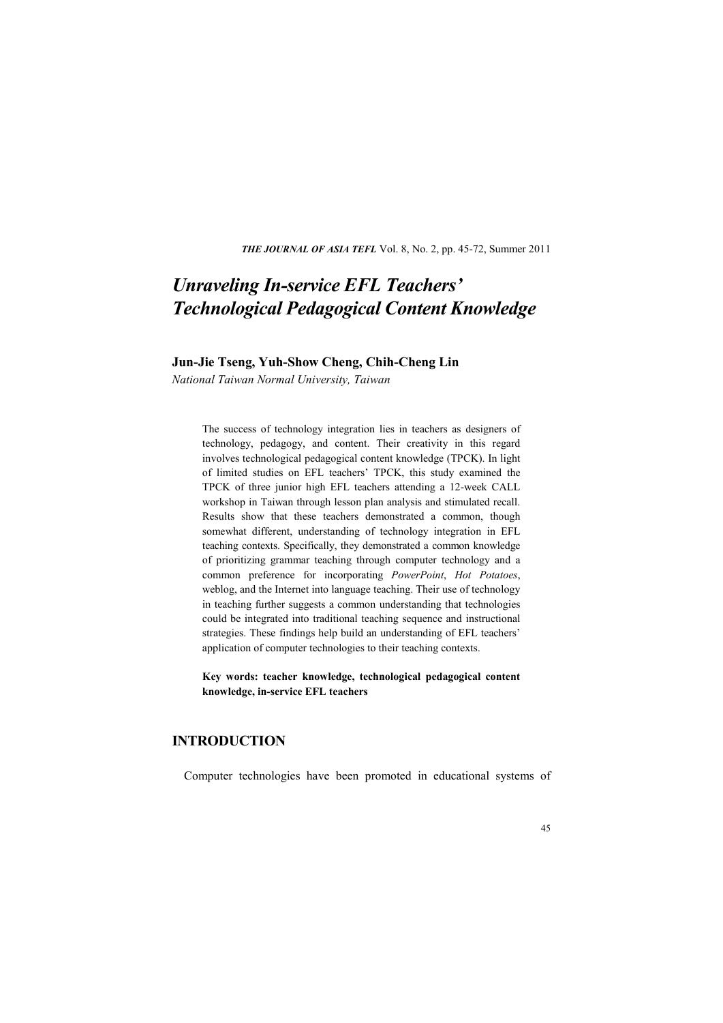*THE JOURNAL OF ASIA TEFL* Vol. 8, No. 2, pp. 45-72, Summer 2011

# *Unraveling In-service EFL Teachers' Technological Pedagogical Content Knowledge*

## **Jun-Jie Tseng, Yuh-Show Cheng, Chih-Cheng Lin**

*National Taiwan Normal University, Taiwan* 

The success of technology integration lies in teachers as designers of technology, pedagogy, and content. Their creativity in this regard involves technological pedagogical content knowledge (TPCK). In light of limited studies on EFL teachers' TPCK, this study examined the TPCK of three junior high EFL teachers attending a 12-week CALL workshop in Taiwan through lesson plan analysis and stimulated recall. Results show that these teachers demonstrated a common, though somewhat different, understanding of technology integration in EFL teaching contexts. Specifically, they demonstrated a common knowledge of prioritizing grammar teaching through computer technology and a common preference for incorporating *PowerPoint*, *Hot Potatoes*, weblog, and the Internet into language teaching. Their use of technology in teaching further suggests a common understanding that technologies could be integrated into traditional teaching sequence and instructional strategies. These findings help build an understanding of EFL teachers' application of computer technologies to their teaching contexts.

**Key words: teacher knowledge, technological pedagogical content knowledge, in-service EFL teachers**

# **INTRODUCTION**

Computer technologies have been promoted in educational systems of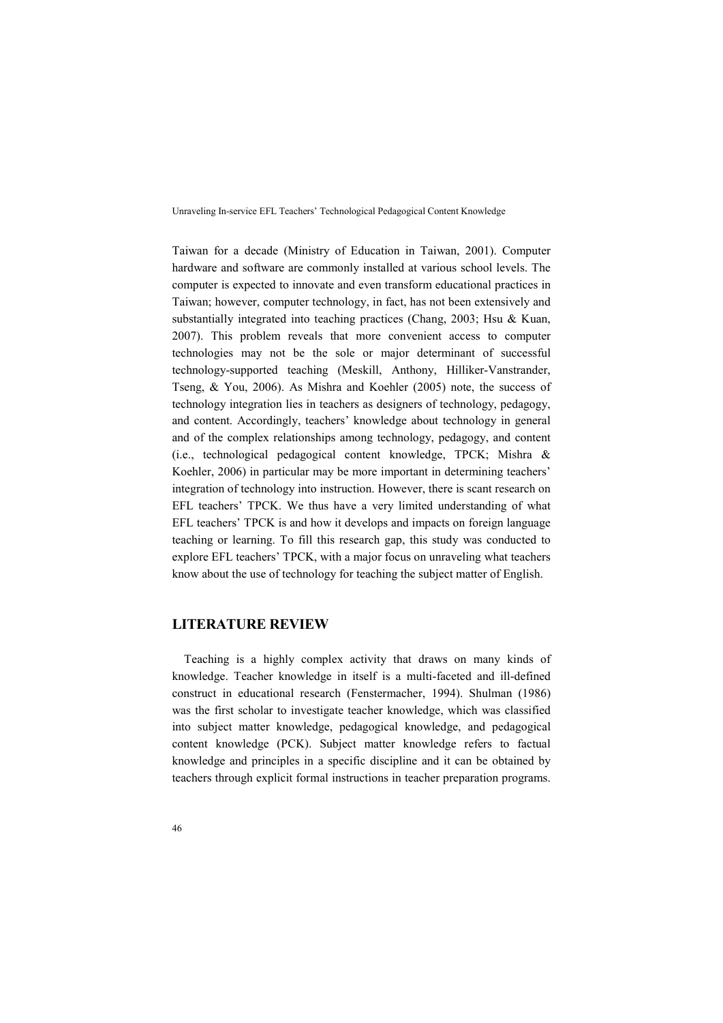Taiwan for a decade (Ministry of Education in Taiwan, 2001). Computer hardware and software are commonly installed at various school levels. The computer is expected to innovate and even transform educational practices in Taiwan; however, computer technology, in fact, has not been extensively and substantially integrated into teaching practices (Chang, 2003; Hsu & Kuan, 2007). This problem reveals that more convenient access to computer technologies may not be the sole or major determinant of successful technology-supported teaching (Meskill, Anthony, Hilliker-Vanstrander, Tseng, & You, 2006). As Mishra and Koehler (2005) note, the success of technology integration lies in teachers as designers of technology, pedagogy, and content. Accordingly, teachers' knowledge about technology in general and of the complex relationships among technology, pedagogy, and content (i.e., technological pedagogical content knowledge, TPCK; Mishra & Koehler, 2006) in particular may be more important in determining teachers' integration of technology into instruction. However, there is scant research on EFL teachers' TPCK. We thus have a very limited understanding of what EFL teachers' TPCK is and how it develops and impacts on foreign language teaching or learning. To fill this research gap, this study was conducted to explore EFL teachers' TPCK, with a major focus on unraveling what teachers know about the use of technology for teaching the subject matter of English.

## **LITERATURE REVIEW**

Teaching is a highly complex activity that draws on many kinds of knowledge. Teacher knowledge in itself is a multi-faceted and ill-defined construct in educational research (Fenstermacher, 1994). Shulman (1986) was the first scholar to investigate teacher knowledge, which was classified into subject matter knowledge, pedagogical knowledge, and pedagogical content knowledge (PCK). Subject matter knowledge refers to factual knowledge and principles in a specific discipline and it can be obtained by teachers through explicit formal instructions in teacher preparation programs.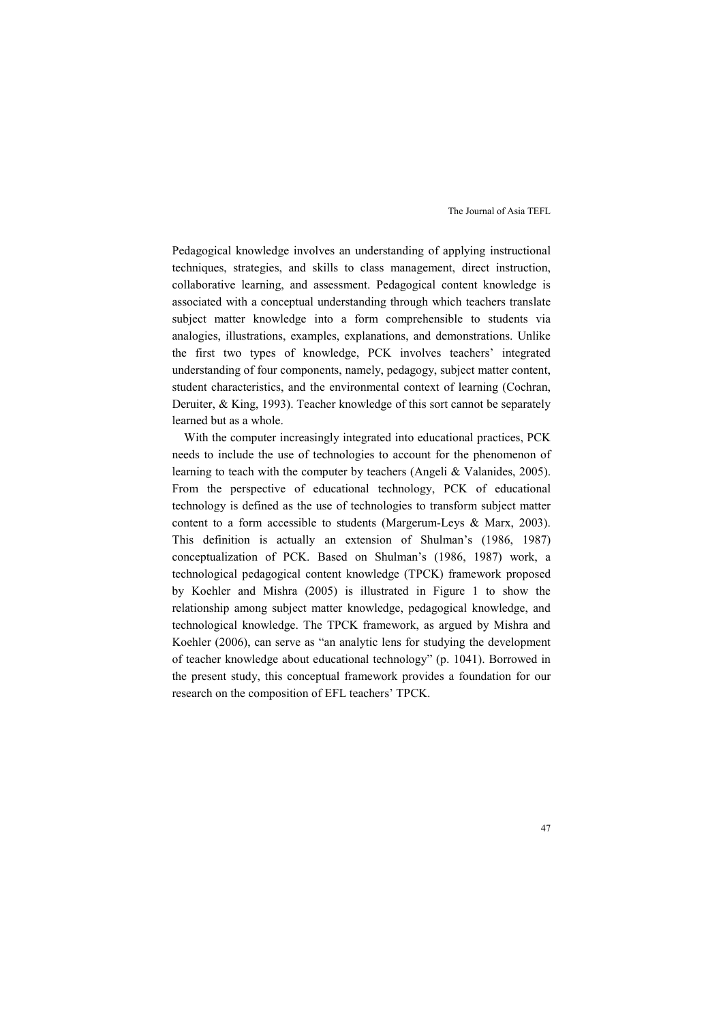Pedagogical knowledge involves an understanding of applying instructional techniques, strategies, and skills to class management, direct instruction, collaborative learning, and assessment. Pedagogical content knowledge is associated with a conceptual understanding through which teachers translate subject matter knowledge into a form comprehensible to students via analogies, illustrations, examples, explanations, and demonstrations. Unlike the first two types of knowledge, PCK involves teachers' integrated understanding of four components, namely, pedagogy, subject matter content, student characteristics, and the environmental context of learning (Cochran, Deruiter, & King, 1993). Teacher knowledge of this sort cannot be separately learned but as a whole.

With the computer increasingly integrated into educational practices, PCK needs to include the use of technologies to account for the phenomenon of learning to teach with the computer by teachers (Angeli & Valanides, 2005). From the perspective of educational technology, PCK of educational technology is defined as the use of technologies to transform subject matter content to a form accessible to students (Margerum-Leys & Marx, 2003). This definition is actually an extension of Shulman's (1986, 1987) conceptualization of PCK. Based on Shulman's (1986, 1987) work, a technological pedagogical content knowledge (TPCK) framework proposed by Koehler and Mishra (2005) is illustrated in Figure 1 to show the relationship among subject matter knowledge, pedagogical knowledge, and technological knowledge. The TPCK framework, as argued by Mishra and Koehler (2006), can serve as "an analytic lens for studying the development of teacher knowledge about educational technology" (p. 1041). Borrowed in the present study, this conceptual framework provides a foundation for our research on the composition of EFL teachers' TPCK.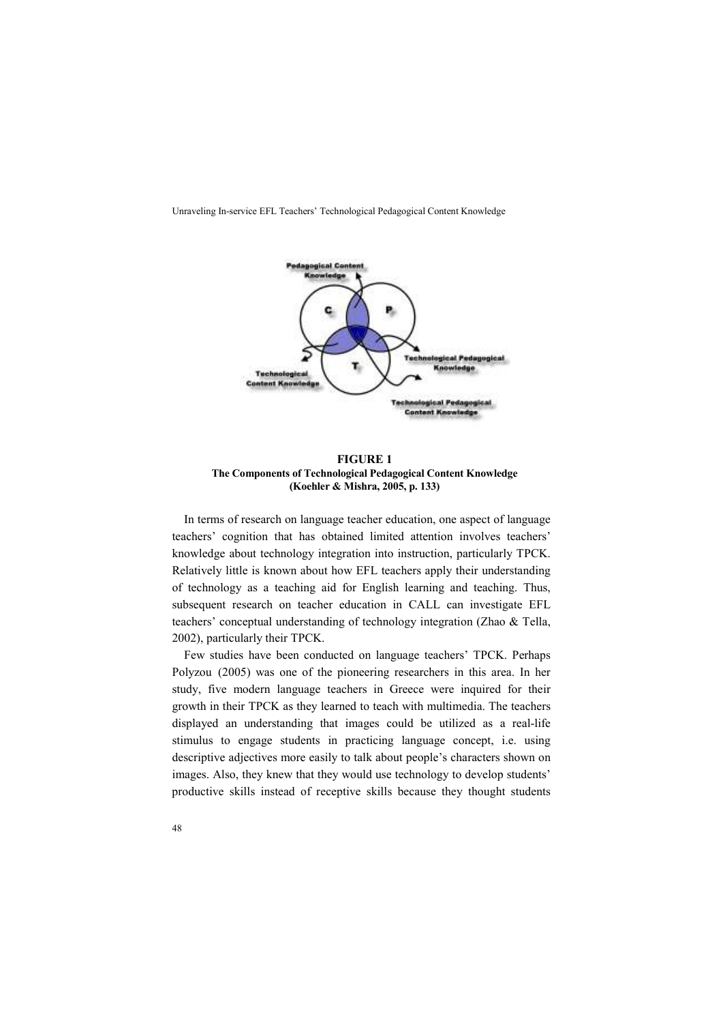

**FIGURE 1 The Components of Technological Pedagogical Content Knowledge (Koehler & Mishra, 2005, p. 133)**

In terms of research on language teacher education, one aspect of language teachers' cognition that has obtained limited attention involves teachers' knowledge about technology integration into instruction, particularly TPCK. Relatively little is known about how EFL teachers apply their understanding of technology as a teaching aid for English learning and teaching. Thus, subsequent research on teacher education in CALL can investigate EFL teachers' conceptual understanding of technology integration (Zhao & Tella, 2002), particularly their TPCK.

Few studies have been conducted on language teachers' TPCK. Perhaps Polyzou (2005) was one of the pioneering researchers in this area. In her study, five modern language teachers in Greece were inquired for their growth in their TPCK as they learned to teach with multimedia. The teachers displayed an understanding that images could be utilized as a real-life stimulus to engage students in practicing language concept, i.e. using descriptive adjectives more easily to talk about people's characters shown on images. Also, they knew that they would use technology to develop students' productive skills instead of receptive skills because they thought students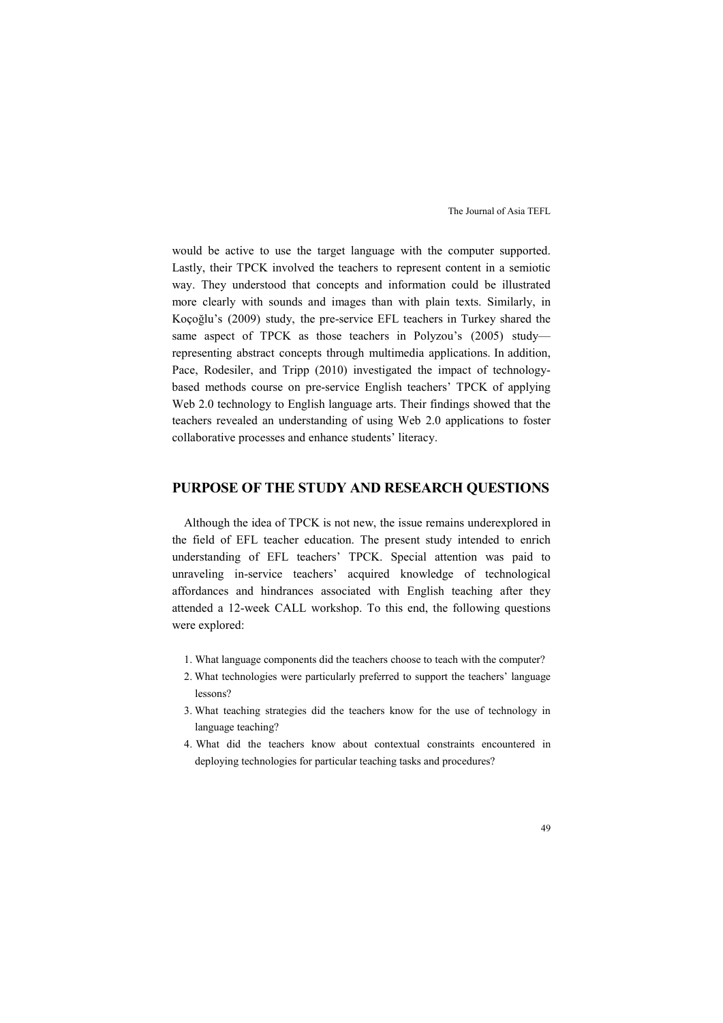would be active to use the target language with the computer supported. Lastly, their TPCK involved the teachers to represent content in a semiotic way. They understood that concepts and information could be illustrated more clearly with sounds and images than with plain texts. Similarly, in Koçoğlu's (2009) study, the pre-service EFL teachers in Turkey shared the same aspect of TPCK as those teachers in Polyzou's (2005) studyrepresenting abstract concepts through multimedia applications. In addition, Pace, Rodesiler, and Tripp (2010) investigated the impact of technologybased methods course on pre-service English teachers' TPCK of applying Web 2.0 technology to English language arts. Their findings showed that the teachers revealed an understanding of using Web 2.0 applications to foster collaborative processes and enhance students' literacy.

## **PURPOSE OF THE STUDY AND RESEARCH QUESTIONS**

Although the idea of TPCK is not new, the issue remains underexplored in the field of EFL teacher education. The present study intended to enrich understanding of EFL teachers' TPCK. Special attention was paid to unraveling in-service teachers' acquired knowledge of technological affordances and hindrances associated with English teaching after they attended a 12-week CALL workshop. To this end, the following questions were explored:

- 1. What language components did the teachers choose to teach with the computer?
- 2. What technologies were particularly preferred to support the teachers' language lessons?
- 3. What teaching strategies did the teachers know for the use of technology in language teaching?
- 4. What did the teachers know about contextual constraints encountered in deploying technologies for particular teaching tasks and procedures?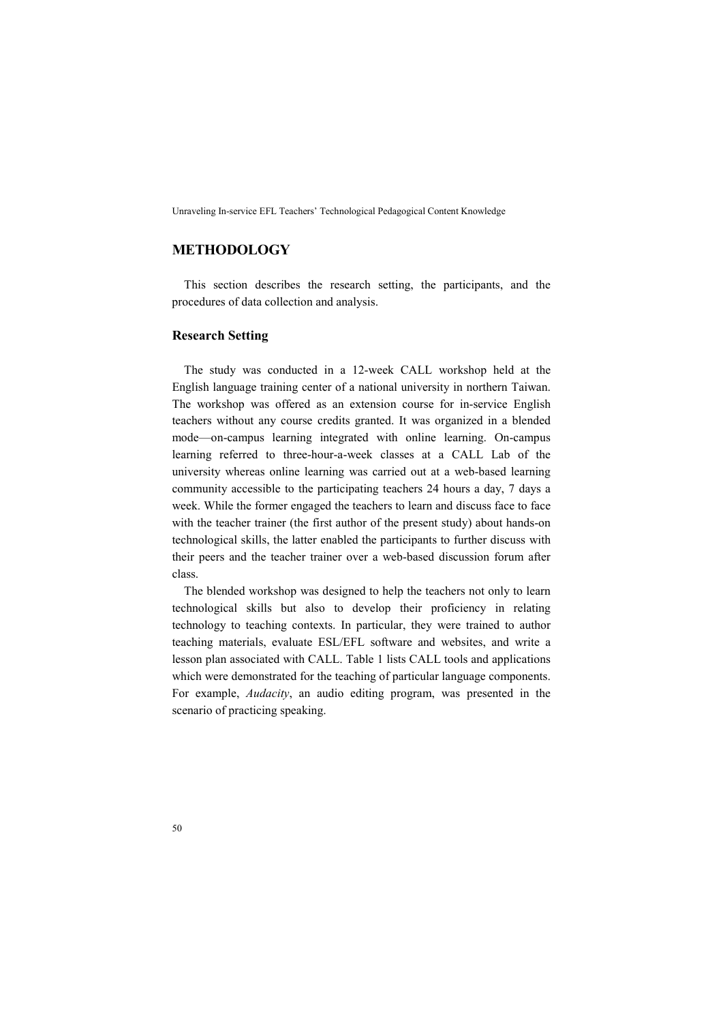## **METHODOLOGY**

This section describes the research setting, the participants, and the procedures of data collection and analysis.

#### **Research Setting**

The study was conducted in a 12-week CALL workshop held at the English language training center of a national university in northern Taiwan. The workshop was offered as an extension course for in-service English teachers without any course credits granted. It was organized in a blended mode—on-campus learning integrated with online learning. On-campus learning referred to three-hour-a-week classes at a CALL Lab of the university whereas online learning was carried out at a web-based learning community accessible to the participating teachers 24 hours a day, 7 days a week. While the former engaged the teachers to learn and discuss face to face with the teacher trainer (the first author of the present study) about hands-on technological skills, the latter enabled the participants to further discuss with their peers and the teacher trainer over a web-based discussion forum after class.

The blended workshop was designed to help the teachers not only to learn technological skills but also to develop their proficiency in relating technology to teaching contexts. In particular, they were trained to author teaching materials, evaluate ESL/EFL software and websites, and write a lesson plan associated with CALL. Table 1 lists CALL tools and applications which were demonstrated for the teaching of particular language components. For example, *Audacity*, an audio editing program, was presented in the scenario of practicing speaking.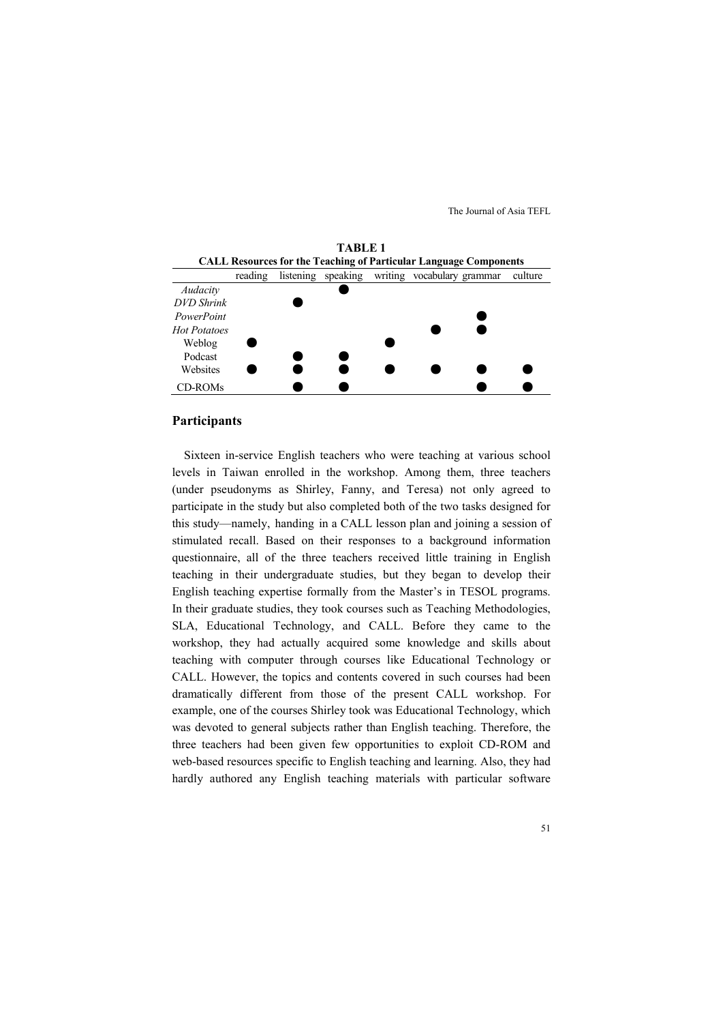

#### **Participants**

Sixteen in-service English teachers who were teaching at various school levels in Taiwan enrolled in the workshop. Among them, three teachers (under pseudonyms as Shirley, Fanny, and Teresa) not only agreed to participate in the study but also completed both of the two tasks designed for this study—namely, handing in a CALL lesson plan and joining a session of stimulated recall. Based on their responses to a background information questionnaire, all of the three teachers received little training in English teaching in their undergraduate studies, but they began to develop their English teaching expertise formally from the Master's in TESOL programs. In their graduate studies, they took courses such as Teaching Methodologies, SLA, Educational Technology, and CALL. Before they came to the workshop, they had actually acquired some knowledge and skills about teaching with computer through courses like Educational Technology or CALL. However, the topics and contents covered in such courses had been dramatically different from those of the present CALL workshop. For example, one of the courses Shirley took was Educational Technology, which was devoted to general subjects rather than English teaching. Therefore, the three teachers had been given few opportunities to exploit CD-ROM and web-based resources specific to English teaching and learning. Also, they had hardly authored any English teaching materials with particular software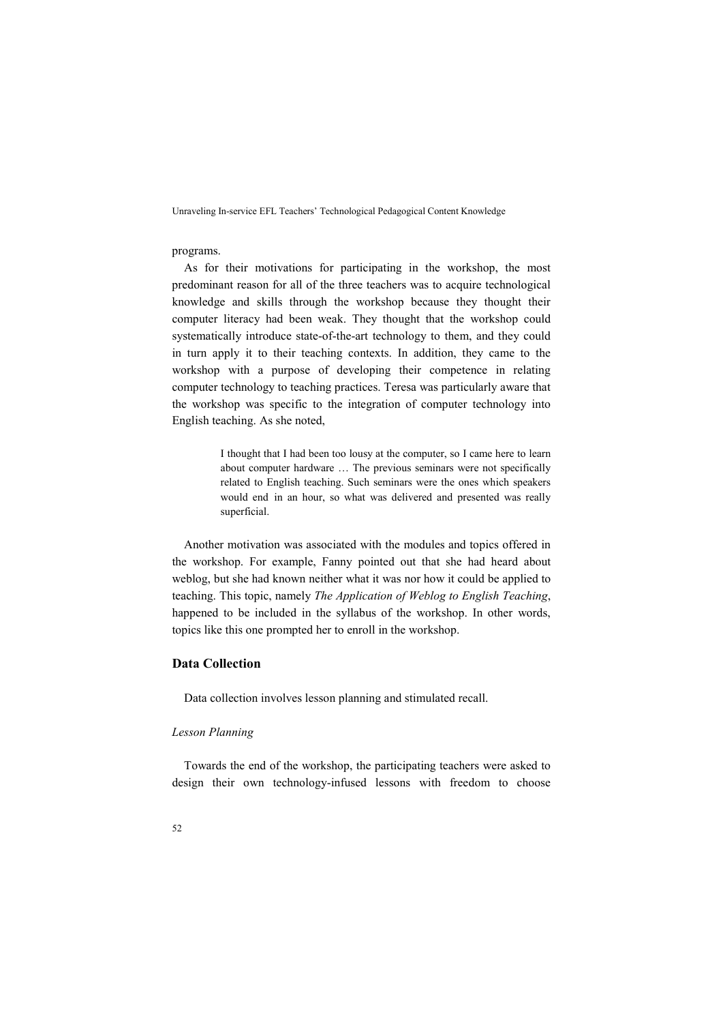#### programs.

As for their motivations for participating in the workshop, the most predominant reason for all of the three teachers was to acquire technological knowledge and skills through the workshop because they thought their computer literacy had been weak. They thought that the workshop could systematically introduce state-of-the-art technology to them, and they could in turn apply it to their teaching contexts. In addition, they came to the workshop with a purpose of developing their competence in relating computer technology to teaching practices. Teresa was particularly aware that the workshop was specific to the integration of computer technology into English teaching. As she noted,

> I thought that I had been too lousy at the computer, so I came here to learn about computer hardware … The previous seminars were not specifically related to English teaching. Such seminars were the ones which speakers would end in an hour, so what was delivered and presented was really superficial.

Another motivation was associated with the modules and topics offered in the workshop. For example, Fanny pointed out that she had heard about weblog, but she had known neither what it was nor how it could be applied to teaching. This topic, namely *The Application of Weblog to English Teaching*, happened to be included in the syllabus of the workshop. In other words, topics like this one prompted her to enroll in the workshop.

## **Data Collection**

Data collection involves lesson planning and stimulated recall.

#### *Lesson Planning*

Towards the end of the workshop, the participating teachers were asked to design their own technology-infused lessons with freedom to choose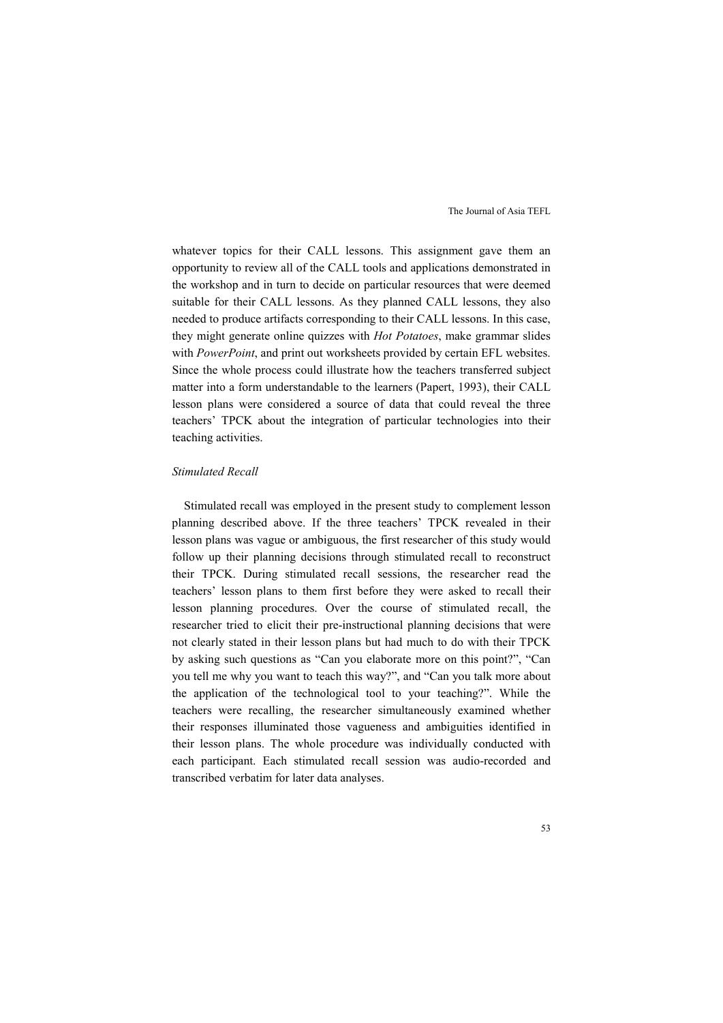whatever topics for their CALL lessons. This assignment gave them an opportunity to review all of the CALL tools and applications demonstrated in the workshop and in turn to decide on particular resources that were deemed suitable for their CALL lessons. As they planned CALL lessons, they also needed to produce artifacts corresponding to their CALL lessons. In this case, they might generate online quizzes with *Hot Potatoes*, make grammar slides with *PowerPoint*, and print out worksheets provided by certain EFL websites. Since the whole process could illustrate how the teachers transferred subject matter into a form understandable to the learners (Papert, 1993), their CALL lesson plans were considered a source of data that could reveal the three teachers' TPCK about the integration of particular technologies into their teaching activities.

#### *Stimulated Recall*

Stimulated recall was employed in the present study to complement lesson planning described above. If the three teachers' TPCK revealed in their lesson plans was vague or ambiguous, the first researcher of this study would follow up their planning decisions through stimulated recall to reconstruct their TPCK. During stimulated recall sessions, the researcher read the teachers' lesson plans to them first before they were asked to recall their lesson planning procedures. Over the course of stimulated recall, the researcher tried to elicit their pre-instructional planning decisions that were not clearly stated in their lesson plans but had much to do with their TPCK by asking such questions as "Can you elaborate more on this point?", "Can you tell me why you want to teach this way?", and "Can you talk more about the application of the technological tool to your teaching?". While the teachers were recalling, the researcher simultaneously examined whether their responses illuminated those vagueness and ambiguities identified in their lesson plans. The whole procedure was individually conducted with each participant. Each stimulated recall session was audio-recorded and transcribed verbatim for later data analyses.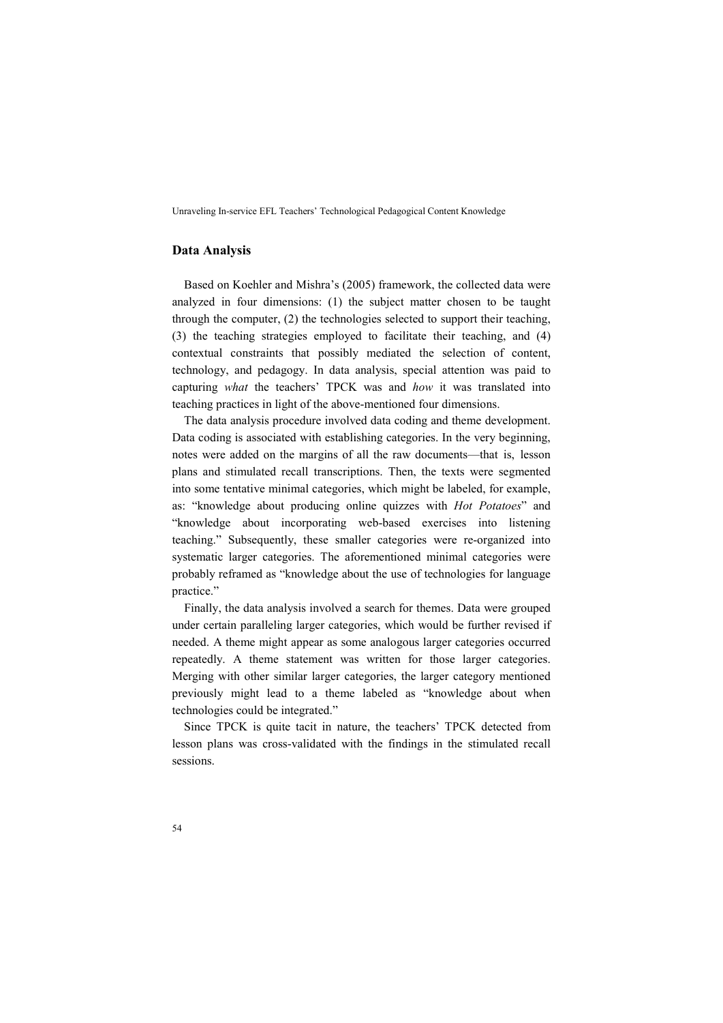## **Data Analysis**

Based on Koehler and Mishra's (2005) framework, the collected data were analyzed in four dimensions: (1) the subject matter chosen to be taught through the computer, (2) the technologies selected to support their teaching, (3) the teaching strategies employed to facilitate their teaching, and (4) contextual constraints that possibly mediated the selection of content, technology, and pedagogy. In data analysis, special attention was paid to capturing *what* the teachers' TPCK was and *how* it was translated into teaching practices in light of the above-mentioned four dimensions.

The data analysis procedure involved data coding and theme development. Data coding is associated with establishing categories. In the very beginning, notes were added on the margins of all the raw documents—that is, lesson plans and stimulated recall transcriptions. Then, the texts were segmented into some tentative minimal categories, which might be labeled, for example, as: "knowledge about producing online quizzes with *Hot Potatoes*" and "knowledge about incorporating web-based exercises into listening teaching." Subsequently, these smaller categories were re-organized into systematic larger categories. The aforementioned minimal categories were probably reframed as "knowledge about the use of technologies for language practice."

Finally, the data analysis involved a search for themes. Data were grouped under certain paralleling larger categories, which would be further revised if needed. A theme might appear as some analogous larger categories occurred repeatedly. A theme statement was written for those larger categories. Merging with other similar larger categories, the larger category mentioned previously might lead to a theme labeled as "knowledge about when technologies could be integrated."

Since TPCK is quite tacit in nature, the teachers' TPCK detected from lesson plans was cross-validated with the findings in the stimulated recall sessions.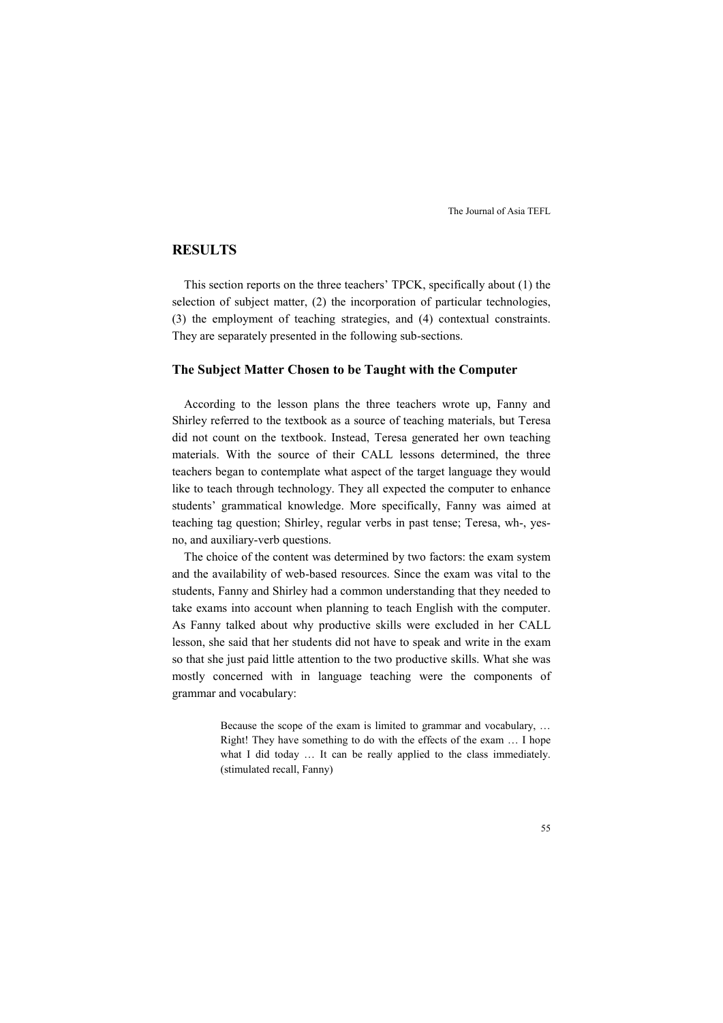## **RESULTS**

This section reports on the three teachers' TPCK, specifically about (1) the selection of subject matter, (2) the incorporation of particular technologies, (3) the employment of teaching strategies, and (4) contextual constraints. They are separately presented in the following sub-sections.

#### **The Subject Matter Chosen to be Taught with the Computer**

According to the lesson plans the three teachers wrote up, Fanny and Shirley referred to the textbook as a source of teaching materials, but Teresa did not count on the textbook. Instead, Teresa generated her own teaching materials. With the source of their CALL lessons determined, the three teachers began to contemplate what aspect of the target language they would like to teach through technology. They all expected the computer to enhance students' grammatical knowledge. More specifically, Fanny was aimed at teaching tag question; Shirley, regular verbs in past tense; Teresa, wh-, yesno, and auxiliary-verb questions.

The choice of the content was determined by two factors: the exam system and the availability of web-based resources. Since the exam was vital to the students, Fanny and Shirley had a common understanding that they needed to take exams into account when planning to teach English with the computer. As Fanny talked about why productive skills were excluded in her CALL lesson, she said that her students did not have to speak and write in the exam so that she just paid little attention to the two productive skills. What she was mostly concerned with in language teaching were the components of grammar and vocabulary:

> Because the scope of the exam is limited to grammar and vocabulary, … Right! They have something to do with the effects of the exam … I hope what I did today ... It can be really applied to the class immediately. (stimulated recall, Fanny)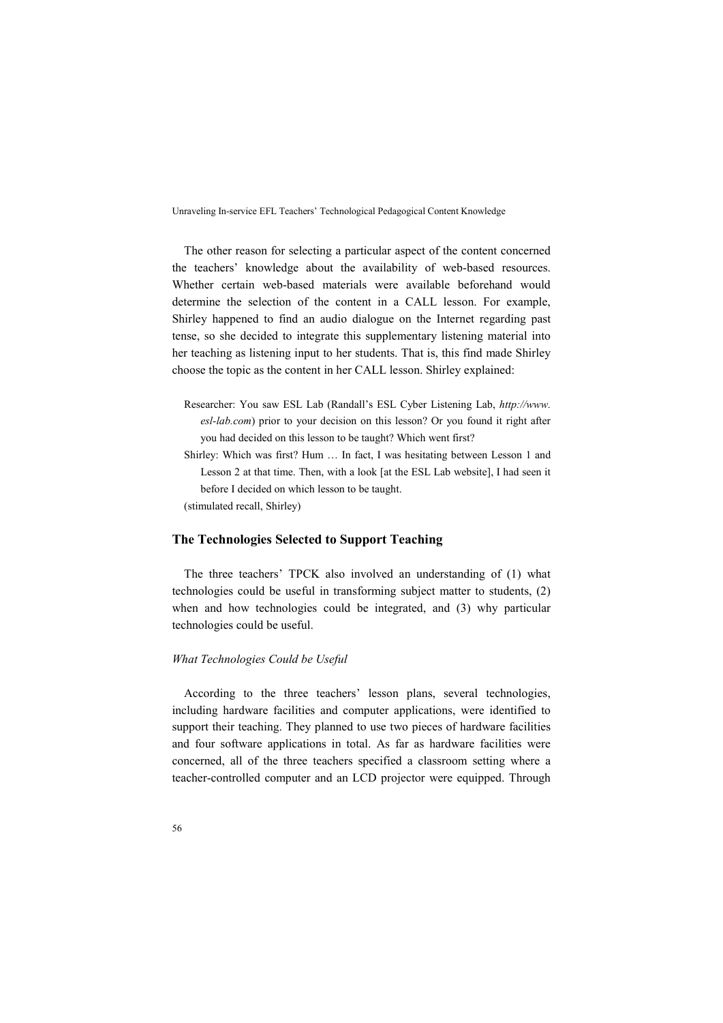The other reason for selecting a particular aspect of the content concerned the teachers' knowledge about the availability of web-based resources. Whether certain web-based materials were available beforehand would determine the selection of the content in a CALL lesson. For example, Shirley happened to find an audio dialogue on the Internet regarding past tense, so she decided to integrate this supplementary listening material into her teaching as listening input to her students. That is, this find made Shirley choose the topic as the content in her CALL lesson. Shirley explained:

- Researcher: You saw ESL Lab (Randall's ESL Cyber Listening Lab, *http://www. esl-lab.com*) prior to your decision on this lesson? Or you found it right after you had decided on this lesson to be taught? Which went first?
- Shirley: Which was first? Hum … In fact, I was hesitating between Lesson 1 and Lesson 2 at that time. Then, with a look [at the ESL Lab website], I had seen it before I decided on which lesson to be taught.

(stimulated recall, Shirley)

#### **The Technologies Selected to Support Teaching**

The three teachers' TPCK also involved an understanding of (1) what technologies could be useful in transforming subject matter to students, (2) when and how technologies could be integrated, and (3) why particular technologies could be useful.

## *What Technologies Could be Useful*

According to the three teachers' lesson plans, several technologies, including hardware facilities and computer applications, were identified to support their teaching. They planned to use two pieces of hardware facilities and four software applications in total. As far as hardware facilities were concerned, all of the three teachers specified a classroom setting where a teacher-controlled computer and an LCD projector were equipped. Through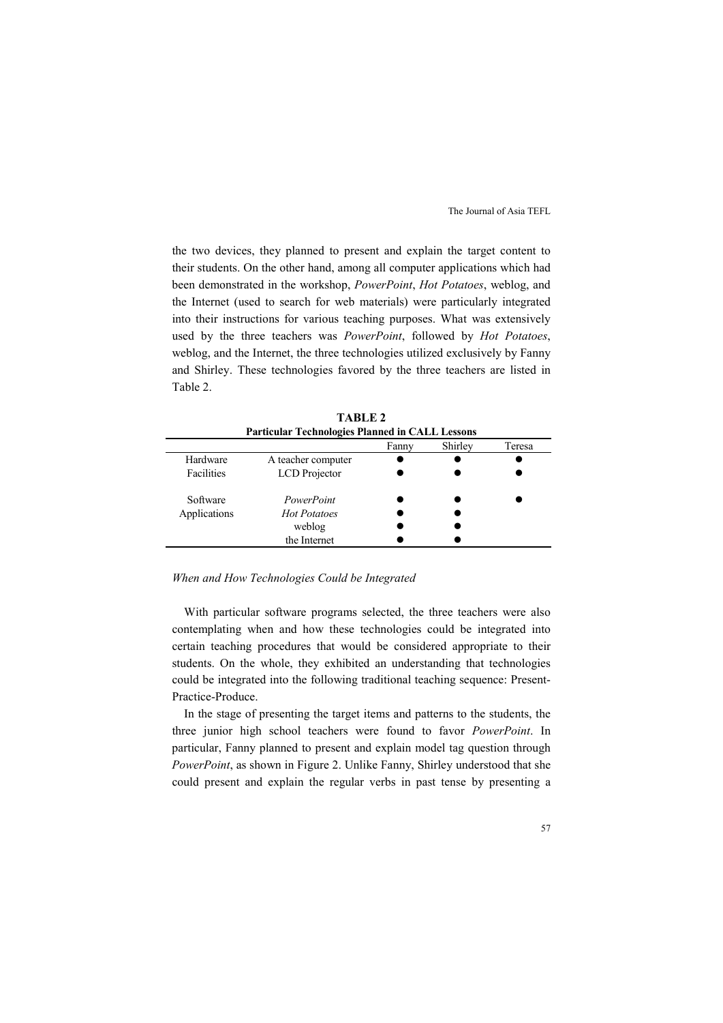the two devices, they planned to present and explain the target content to their students. On the other hand, among all computer applications which had been demonstrated in the workshop, *PowerPoint*, *Hot Potatoes*, weblog, and the Internet (used to search for web materials) were particularly integrated into their instructions for various teaching purposes. What was extensively used by the three teachers was *PowerPoint*, followed by *Hot Potatoes*, weblog, and the Internet, the three technologies utilized exclusively by Fanny and Shirley. These technologies favored by the three teachers are listed in Table 2.

|                   | <b>Particular Technologies Planned in CALL Lessons</b> |       |         |        |
|-------------------|--------------------------------------------------------|-------|---------|--------|
|                   |                                                        | Fanny | Shirley | Teresa |
| Hardware          | A teacher computer                                     |       |         |        |
| <b>Facilities</b> | LCD Projector                                          |       |         |        |
| Software          | PowerPoint                                             |       |         |        |
| Applications      | <b>Hot Potatoes</b>                                    |       |         |        |
|                   | weblog                                                 |       |         |        |
|                   | the Internet                                           |       |         |        |

**TABLE 2** 

#### *When and How Technologies Could be Integrated*

With particular software programs selected, the three teachers were also contemplating when and how these technologies could be integrated into certain teaching procedures that would be considered appropriate to their students. On the whole, they exhibited an understanding that technologies could be integrated into the following traditional teaching sequence: Present-Practice-Produce.

In the stage of presenting the target items and patterns to the students, the three junior high school teachers were found to favor *PowerPoint*. In particular, Fanny planned to present and explain model tag question through *PowerPoint*, as shown in Figure 2. Unlike Fanny, Shirley understood that she could present and explain the regular verbs in past tense by presenting a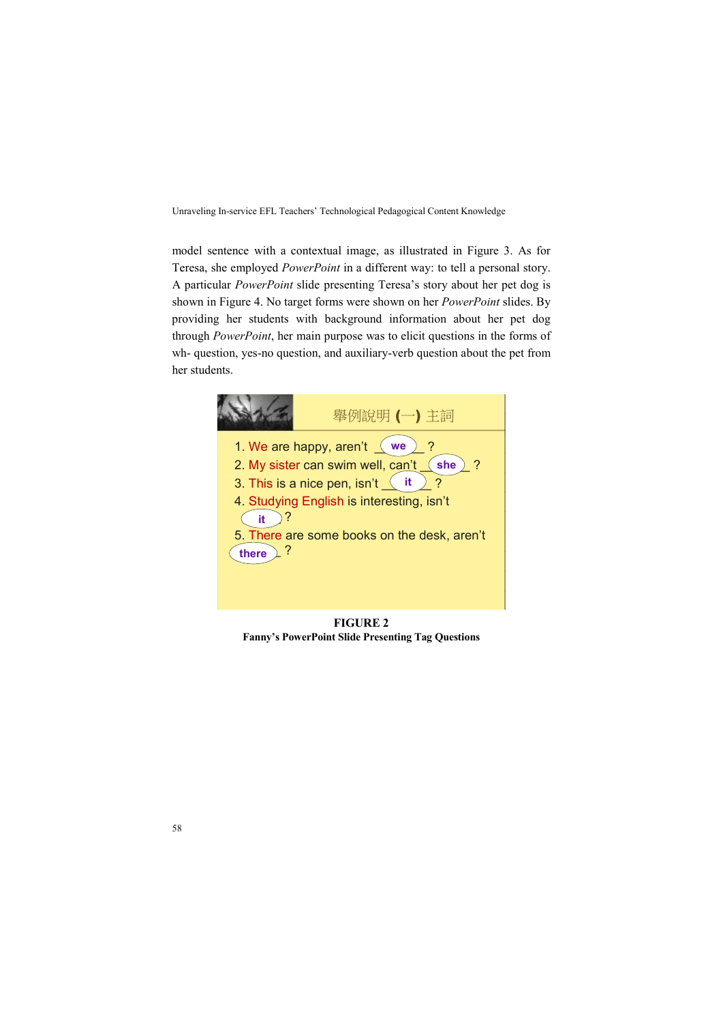model sentence with a contextual image, as illustrated in Figure 3. As for Teresa, she employed *PowerPoint* in a different way: to tell a personal story. A particular *PowerPoint* slide presenting Teresa's story about her pet dog is shown in Figure 4. No target forms were shown on her *PowerPoint* slides. By providing her students with background information about her pet dog through *PowerPoint*, her main purpose was to elicit questions in the forms of wh- question, yes-no question, and auxiliary-verb question about the pet from her students.



**FIGURE 2 Fanny's PowerPoint Slide Presenting Tag Questions**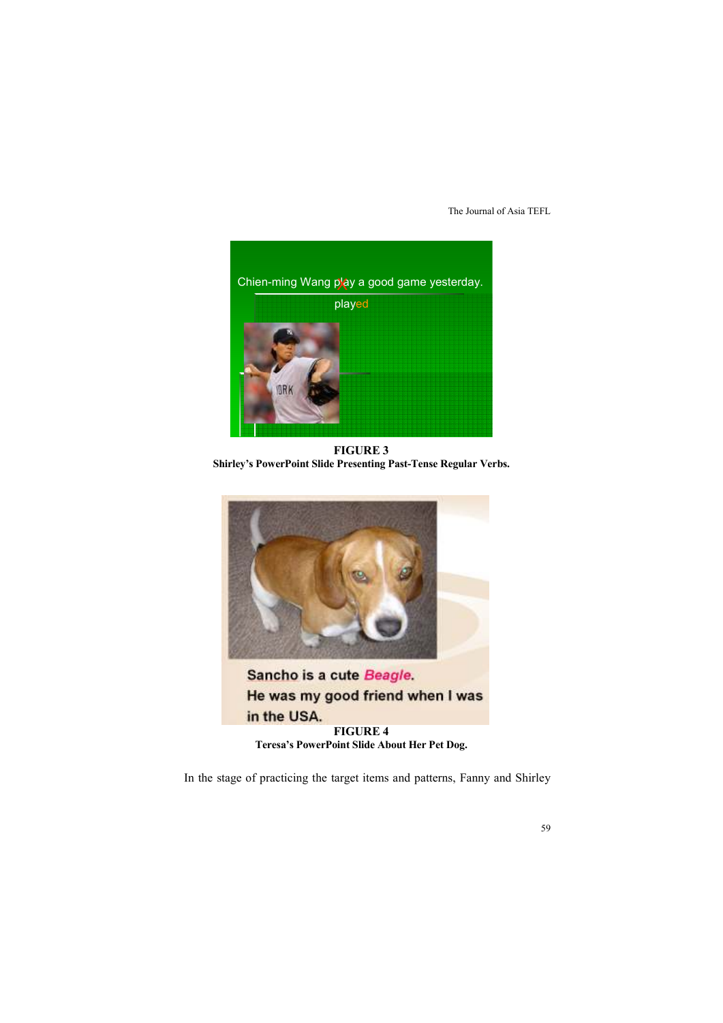

**FIGURE 3 Shirley's PowerPoint Slide Presenting Past-Tense Regular Verbs.** 



Sancho is a cute Beagle. He was my good friend when I was in the USA. **FIGURE 4** 

**Teresa's PowerPoint Slide About Her Pet Dog.** 

In the stage of practicing the target items and patterns, Fanny and Shirley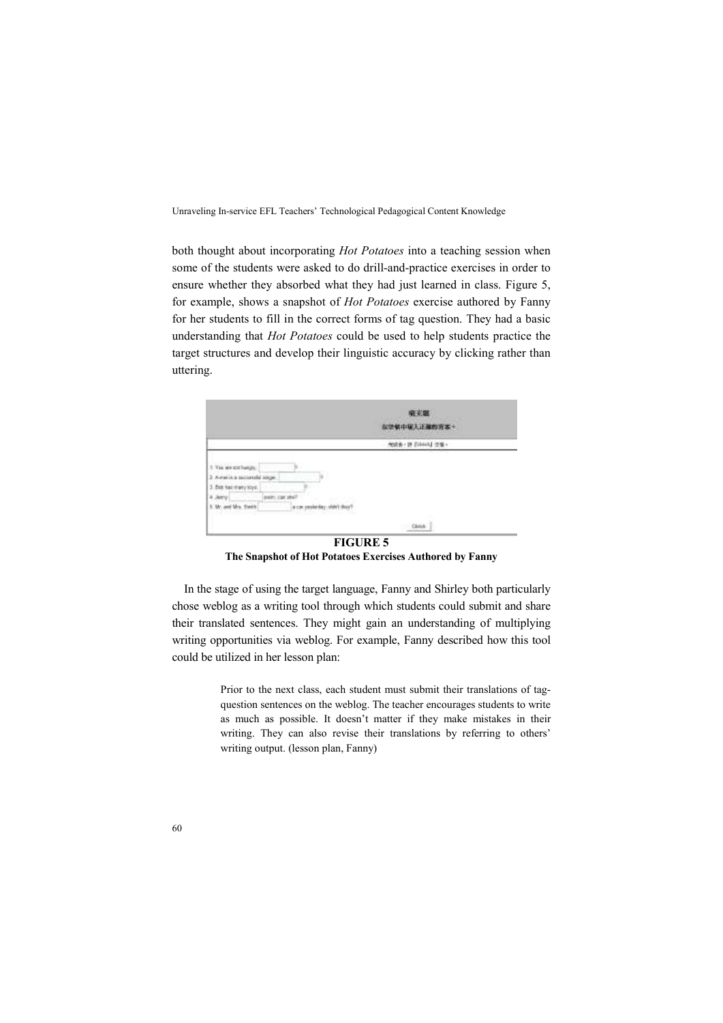both thought about incorporating *Hot Potatoes* into a teaching session when some of the students were asked to do drill-and-practice exercises in order to ensure whether they absorbed what they had just learned in class. Figure 5, for example, shows a snapshot of *Hot Potatoes* exercise authored by Fanny for her students to fill in the correct forms of tag question. They had a basic understanding that *Hot Potatoes* could be used to help students practice the target structures and develop their linguistic accuracy by clicking rather than uttering.

|                                                                                 |                            | 病差器<br><b>な空気中堀入正確的言本+</b> |  |
|---------------------------------------------------------------------------------|----------------------------|----------------------------|--|
|                                                                                 |                            | 9008 · 28 Ednis J (20) ·   |  |
| This was not furnish.<br>when in a maximum alla assume<br>3. But has many loys: | ×<br>u                     |                            |  |
| <b>Mrs. Twick</b>                                                               | a car yavier<br>かいたいこうしいだい |                            |  |
|                                                                                 |                            | $-$ OHK                    |  |

**The Snapshot of Hot Potatoes Exercises Authored by Fanny** 

In the stage of using the target language, Fanny and Shirley both particularly chose weblog as a writing tool through which students could submit and share their translated sentences. They might gain an understanding of multiplying writing opportunities via weblog. For example, Fanny described how this tool could be utilized in her lesson plan:

> Prior to the next class, each student must submit their translations of tagquestion sentences on the weblog. The teacher encourages students to write as much as possible. It doesn't matter if they make mistakes in their writing. They can also revise their translations by referring to others' writing output. (lesson plan, Fanny)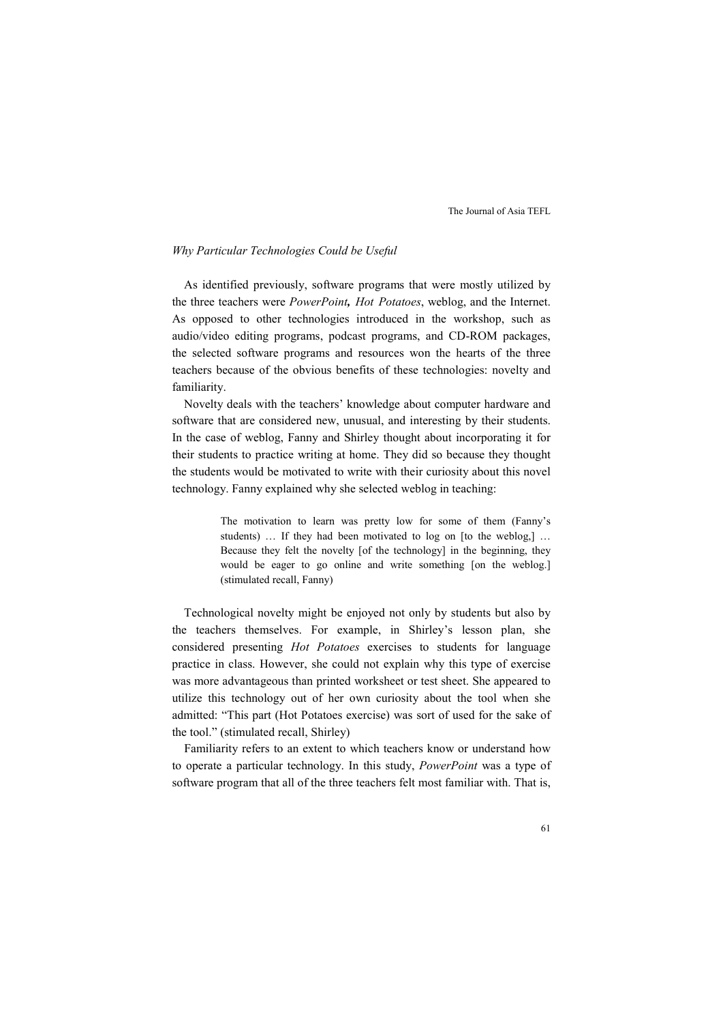#### *Why Particular Technologies Could be Useful*

As identified previously, software programs that were mostly utilized by the three teachers were *PowerPoint, Hot Potatoes*, weblog, and the Internet. As opposed to other technologies introduced in the workshop, such as audio/video editing programs, podcast programs, and CD-ROM packages, the selected software programs and resources won the hearts of the three teachers because of the obvious benefits of these technologies: novelty and familiarity.

Novelty deals with the teachers' knowledge about computer hardware and software that are considered new, unusual, and interesting by their students. In the case of weblog, Fanny and Shirley thought about incorporating it for their students to practice writing at home. They did so because they thought the students would be motivated to write with their curiosity about this novel technology. Fanny explained why she selected weblog in teaching:

> The motivation to learn was pretty low for some of them (Fanny's students) … If they had been motivated to log on [to the weblog,] … Because they felt the novelty [of the technology] in the beginning, they would be eager to go online and write something [on the weblog.] (stimulated recall, Fanny)

Technological novelty might be enjoyed not only by students but also by the teachers themselves. For example, in Shirley's lesson plan, she considered presenting *Hot Potatoes* exercises to students for language practice in class. However, she could not explain why this type of exercise was more advantageous than printed worksheet or test sheet. She appeared to utilize this technology out of her own curiosity about the tool when she admitted: "This part (Hot Potatoes exercise) was sort of used for the sake of the tool." (stimulated recall, Shirley)

Familiarity refers to an extent to which teachers know or understand how to operate a particular technology. In this study, *PowerPoint* was a type of software program that all of the three teachers felt most familiar with. That is,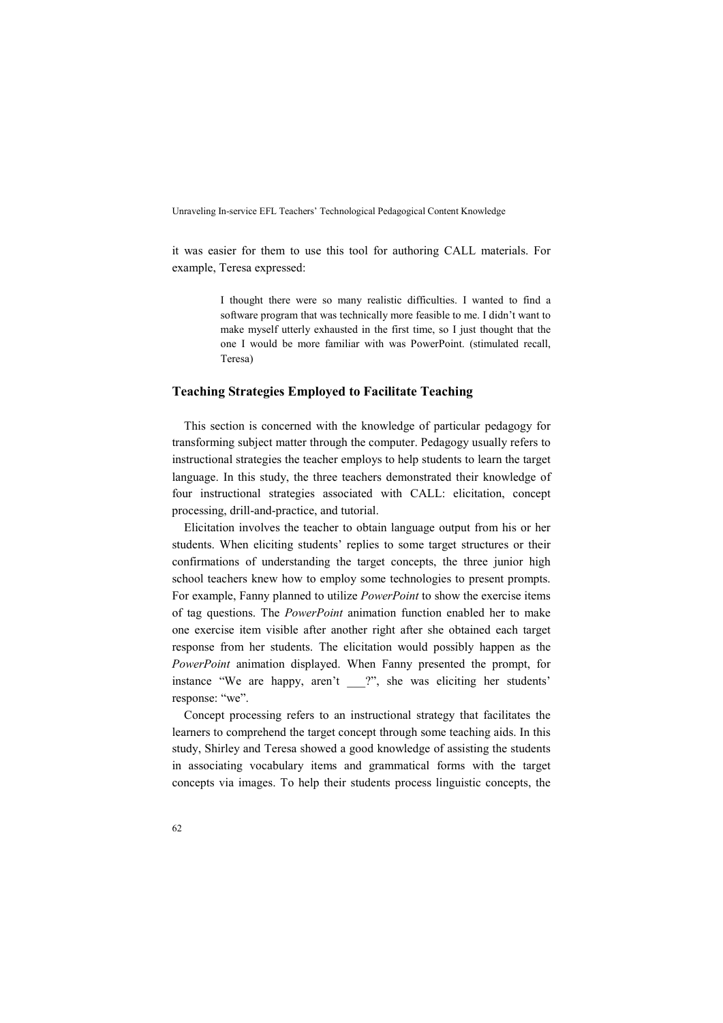it was easier for them to use this tool for authoring CALL materials. For example, Teresa expressed:

> I thought there were so many realistic difficulties. I wanted to find a software program that was technically more feasible to me. I didn't want to make myself utterly exhausted in the first time, so I just thought that the one I would be more familiar with was PowerPoint. (stimulated recall, Teresa)

### **Teaching Strategies Employed to Facilitate Teaching**

This section is concerned with the knowledge of particular pedagogy for transforming subject matter through the computer. Pedagogy usually refers to instructional strategies the teacher employs to help students to learn the target language. In this study, the three teachers demonstrated their knowledge of four instructional strategies associated with CALL: elicitation, concept processing, drill-and-practice, and tutorial.

Elicitation involves the teacher to obtain language output from his or her students. When eliciting students' replies to some target structures or their confirmations of understanding the target concepts, the three junior high school teachers knew how to employ some technologies to present prompts. For example, Fanny planned to utilize *PowerPoint* to show the exercise items of tag questions. The *PowerPoint* animation function enabled her to make one exercise item visible after another right after she obtained each target response from her students. The elicitation would possibly happen as the *PowerPoint* animation displayed. When Fanny presented the prompt, for instance "We are happy, aren't \_\_\_?", she was eliciting her students' response: "we".

Concept processing refers to an instructional strategy that facilitates the learners to comprehend the target concept through some teaching aids. In this study, Shirley and Teresa showed a good knowledge of assisting the students in associating vocabulary items and grammatical forms with the target concepts via images. To help their students process linguistic concepts, the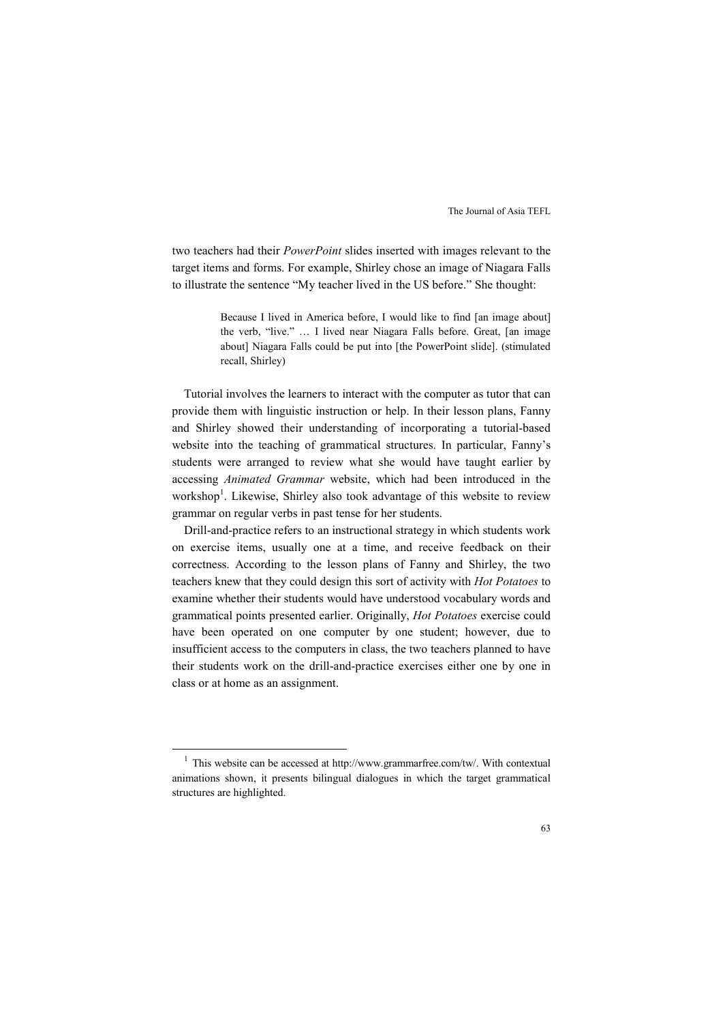two teachers had their *PowerPoint* slides inserted with images relevant to the target items and forms. For example, Shirley chose an image of Niagara Falls to illustrate the sentence "My teacher lived in the US before." She thought:

> Because I lived in America before, I would like to find [an image about] the verb, "live." … I lived near Niagara Falls before. Great, [an image about] Niagara Falls could be put into [the PowerPoint slide]. (stimulated recall, Shirley)

Tutorial involves the learners to interact with the computer as tutor that can provide them with linguistic instruction or help. In their lesson plans, Fanny and Shirley showed their understanding of incorporating a tutorial-based website into the teaching of grammatical structures. In particular, Fanny's students were arranged to review what she would have taught earlier by accessing *Animated Grammar* website, which had been introduced in the workshop<sup>1</sup>. Likewise, Shirley also took advantage of this website to review grammar on regular verbs in past tense for her students.

Drill-and-practice refers to an instructional strategy in which students work on exercise items, usually one at a time, and receive feedback on their correctness. According to the lesson plans of Fanny and Shirley, the two teachers knew that they could design this sort of activity with *Hot Potatoes* to examine whether their students would have understood vocabulary words and grammatical points presented earlier. Originally, *Hot Potatoes* exercise could have been operated on one computer by one student; however, due to insufficient access to the computers in class, the two teachers planned to have their students work on the drill-and-practice exercises either one by one in class or at home as an assignment.

-

 $1$  This website can be accessed at http://www.grammarfree.com/tw/. With contextual animations shown, it presents bilingual dialogues in which the target grammatical structures are highlighted.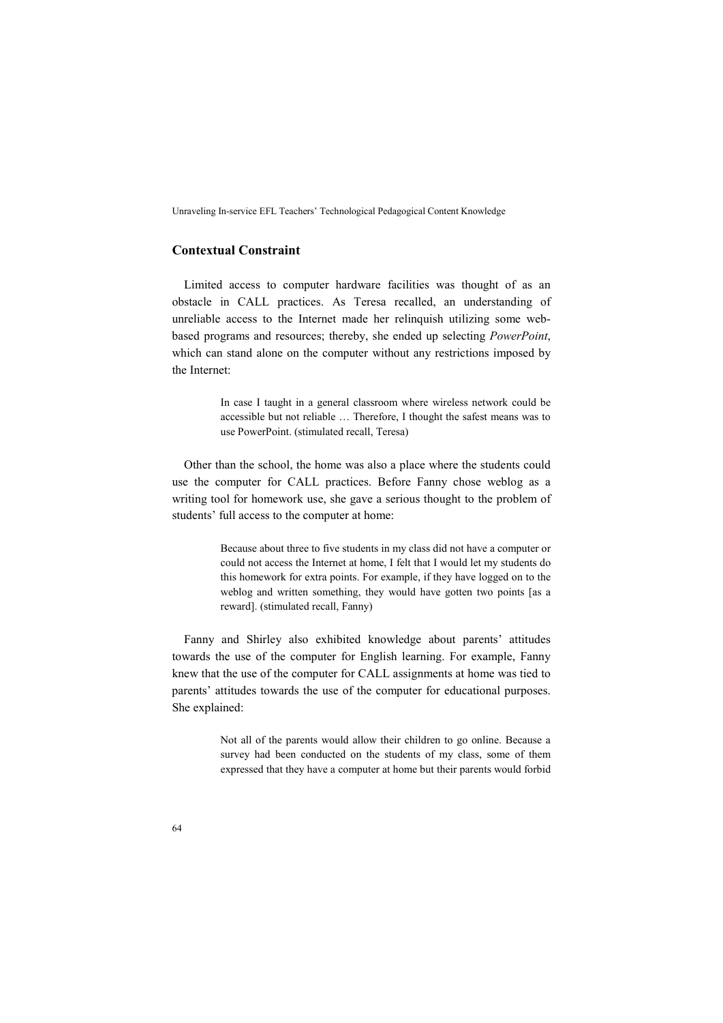## **Contextual Constraint**

Limited access to computer hardware facilities was thought of as an obstacle in CALL practices. As Teresa recalled, an understanding of unreliable access to the Internet made her relinquish utilizing some webbased programs and resources; thereby, she ended up selecting *PowerPoint*, which can stand alone on the computer without any restrictions imposed by the Internet:

> In case I taught in a general classroom where wireless network could be accessible but not reliable … Therefore, I thought the safest means was to use PowerPoint. (stimulated recall, Teresa)

Other than the school, the home was also a place where the students could use the computer for CALL practices. Before Fanny chose weblog as a writing tool for homework use, she gave a serious thought to the problem of students' full access to the computer at home:

> Because about three to five students in my class did not have a computer or could not access the Internet at home, I felt that I would let my students do this homework for extra points. For example, if they have logged on to the weblog and written something, they would have gotten two points [as a reward]. (stimulated recall, Fanny)

Fanny and Shirley also exhibited knowledge about parents' attitudes towards the use of the computer for English learning. For example, Fanny knew that the use of the computer for CALL assignments at home was tied to parents' attitudes towards the use of the computer for educational purposes. She explained:

> Not all of the parents would allow their children to go online. Because a survey had been conducted on the students of my class, some of them expressed that they have a computer at home but their parents would forbid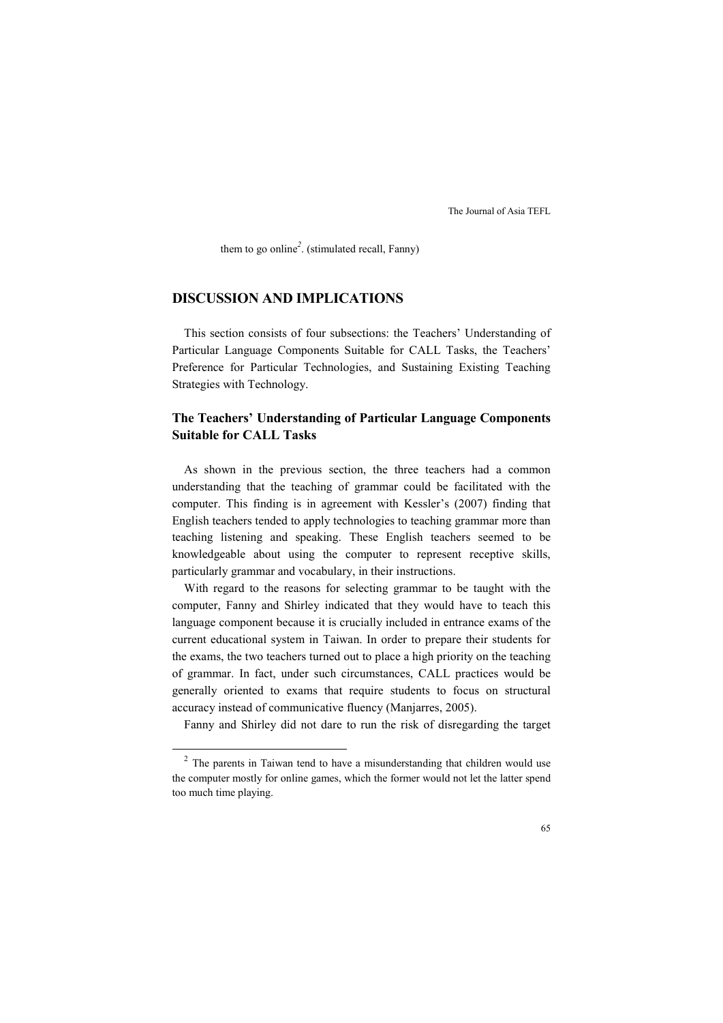them to go online*<sup>2</sup>* . (stimulated recall, Fanny)

# **DISCUSSION AND IMPLICATIONS**

This section consists of four subsections: the Teachers' Understanding of Particular Language Components Suitable for CALL Tasks, the Teachers' Preference for Particular Technologies, and Sustaining Existing Teaching Strategies with Technology.

## **The Teachers' Understanding of Particular Language Components Suitable for CALL Tasks**

As shown in the previous section, the three teachers had a common understanding that the teaching of grammar could be facilitated with the computer. This finding is in agreement with Kessler's (2007) finding that English teachers tended to apply technologies to teaching grammar more than teaching listening and speaking. These English teachers seemed to be knowledgeable about using the computer to represent receptive skills, particularly grammar and vocabulary, in their instructions.

With regard to the reasons for selecting grammar to be taught with the computer, Fanny and Shirley indicated that they would have to teach this language component because it is crucially included in entrance exams of the current educational system in Taiwan. In order to prepare their students for the exams, the two teachers turned out to place a high priority on the teaching of grammar. In fact, under such circumstances, CALL practices would be generally oriented to exams that require students to focus on structural accuracy instead of communicative fluency (Manjarres, 2005).

Fanny and Shirley did not dare to run the risk of disregarding the target

-

 $2$  The parents in Taiwan tend to have a misunderstanding that children would use the computer mostly for online games, which the former would not let the latter spend too much time playing.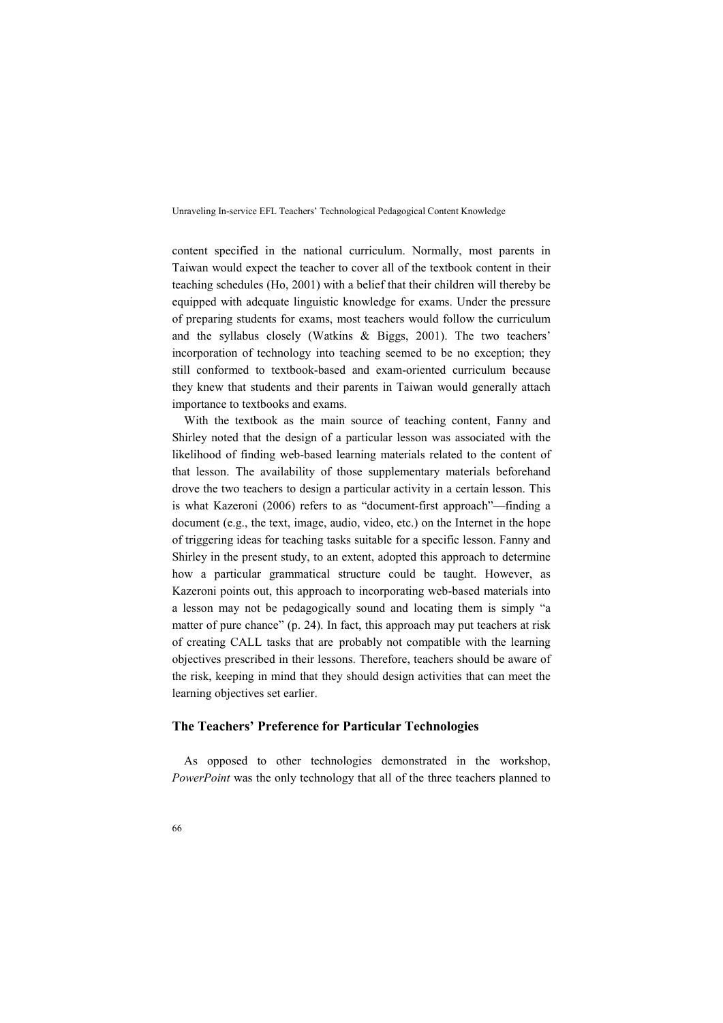content specified in the national curriculum. Normally, most parents in Taiwan would expect the teacher to cover all of the textbook content in their teaching schedules (Ho, 2001) with a belief that their children will thereby be equipped with adequate linguistic knowledge for exams. Under the pressure of preparing students for exams, most teachers would follow the curriculum and the syllabus closely (Watkins & Biggs, 2001). The two teachers' incorporation of technology into teaching seemed to be no exception; they still conformed to textbook-based and exam-oriented curriculum because they knew that students and their parents in Taiwan would generally attach importance to textbooks and exams.

With the textbook as the main source of teaching content, Fanny and Shirley noted that the design of a particular lesson was associated with the likelihood of finding web-based learning materials related to the content of that lesson. The availability of those supplementary materials beforehand drove the two teachers to design a particular activity in a certain lesson. This is what Kazeroni (2006) refers to as "document-first approach"—finding a document (e.g., the text, image, audio, video, etc.) on the Internet in the hope of triggering ideas for teaching tasks suitable for a specific lesson. Fanny and Shirley in the present study, to an extent, adopted this approach to determine how a particular grammatical structure could be taught. However, as Kazeroni points out, this approach to incorporating web-based materials into a lesson may not be pedagogically sound and locating them is simply "a matter of pure chance" (p. 24). In fact, this approach may put teachers at risk of creating CALL tasks that are probably not compatible with the learning objectives prescribed in their lessons. Therefore, teachers should be aware of the risk, keeping in mind that they should design activities that can meet the learning objectives set earlier.

#### **The Teachers' Preference for Particular Technologies**

As opposed to other technologies demonstrated in the workshop, *PowerPoint* was the only technology that all of the three teachers planned to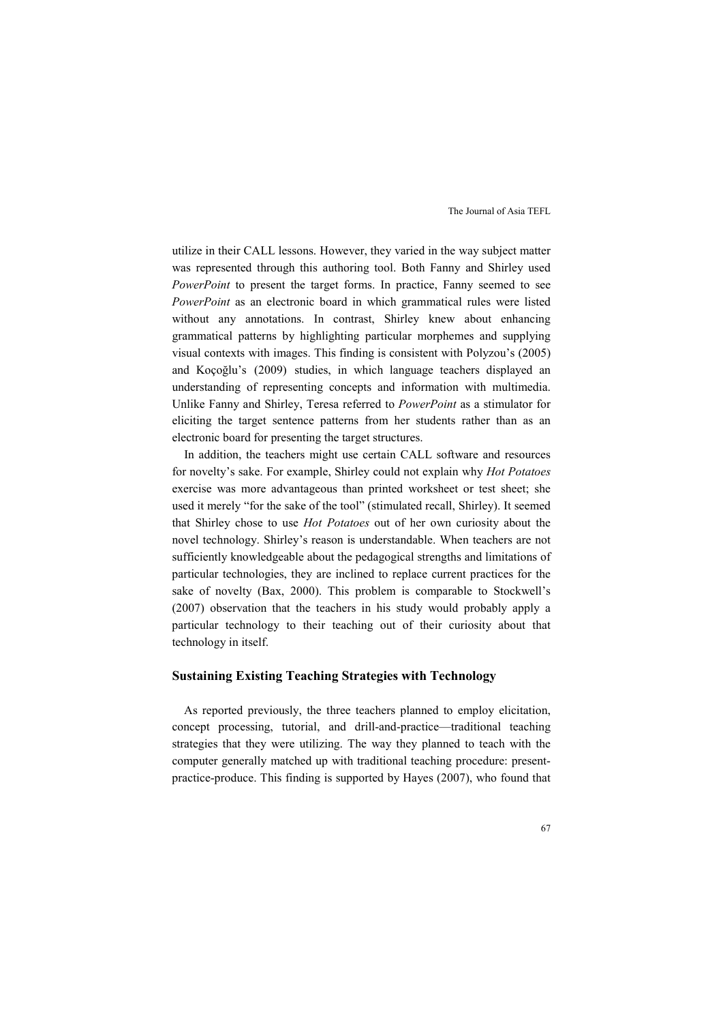utilize in their CALL lessons. However, they varied in the way subject matter was represented through this authoring tool. Both Fanny and Shirley used *PowerPoint* to present the target forms. In practice, Fanny seemed to see *PowerPoint* as an electronic board in which grammatical rules were listed without any annotations. In contrast, Shirley knew about enhancing grammatical patterns by highlighting particular morphemes and supplying visual contexts with images. This finding is consistent with Polyzou's (2005) and Koçoğlu's (2009) studies, in which language teachers displayed an understanding of representing concepts and information with multimedia. Unlike Fanny and Shirley, Teresa referred to *PowerPoint* as a stimulator for eliciting the target sentence patterns from her students rather than as an electronic board for presenting the target structures.

In addition, the teachers might use certain CALL software and resources for novelty's sake. For example, Shirley could not explain why *Hot Potatoes* exercise was more advantageous than printed worksheet or test sheet; she used it merely "for the sake of the tool" (stimulated recall, Shirley). It seemed that Shirley chose to use *Hot Potatoes* out of her own curiosity about the novel technology. Shirley's reason is understandable. When teachers are not sufficiently knowledgeable about the pedagogical strengths and limitations of particular technologies, they are inclined to replace current practices for the sake of novelty (Bax, 2000). This problem is comparable to Stockwell's (2007) observation that the teachers in his study would probably apply a particular technology to their teaching out of their curiosity about that technology in itself.

#### **Sustaining Existing Teaching Strategies with Technology**

As reported previously, the three teachers planned to employ elicitation, concept processing, tutorial, and drill-and-practice—traditional teaching strategies that they were utilizing. The way they planned to teach with the computer generally matched up with traditional teaching procedure: presentpractice-produce. This finding is supported by Hayes (2007), who found that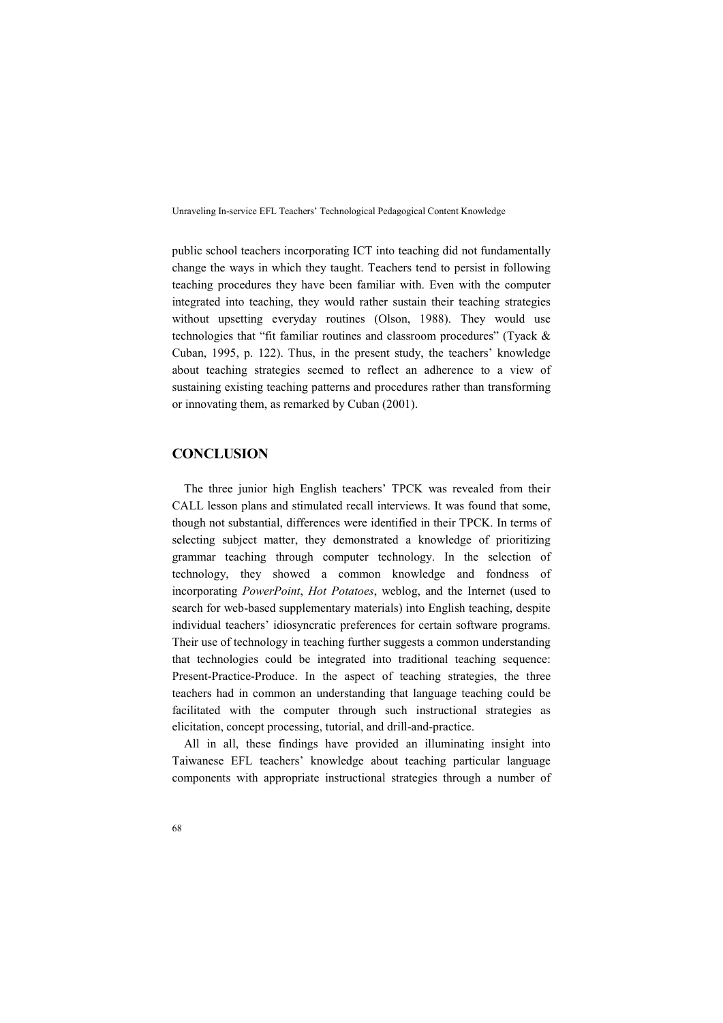public school teachers incorporating ICT into teaching did not fundamentally change the ways in which they taught. Teachers tend to persist in following teaching procedures they have been familiar with. Even with the computer integrated into teaching, they would rather sustain their teaching strategies without upsetting everyday routines (Olson, 1988). They would use technologies that "fit familiar routines and classroom procedures" (Tyack & Cuban, 1995, p. 122). Thus, in the present study, the teachers' knowledge about teaching strategies seemed to reflect an adherence to a view of sustaining existing teaching patterns and procedures rather than transforming or innovating them, as remarked by Cuban (2001).

## **CONCLUSION**

The three junior high English teachers' TPCK was revealed from their CALL lesson plans and stimulated recall interviews. It was found that some, though not substantial, differences were identified in their TPCK. In terms of selecting subject matter, they demonstrated a knowledge of prioritizing grammar teaching through computer technology. In the selection of technology, they showed a common knowledge and fondness of incorporating *PowerPoint*, *Hot Potatoes*, weblog, and the Internet (used to search for web-based supplementary materials) into English teaching, despite individual teachers' idiosyncratic preferences for certain software programs. Their use of technology in teaching further suggests a common understanding that technologies could be integrated into traditional teaching sequence: Present-Practice-Produce. In the aspect of teaching strategies, the three teachers had in common an understanding that language teaching could be facilitated with the computer through such instructional strategies as elicitation, concept processing, tutorial, and drill-and-practice.

All in all, these findings have provided an illuminating insight into Taiwanese EFL teachers' knowledge about teaching particular language components with appropriate instructional strategies through a number of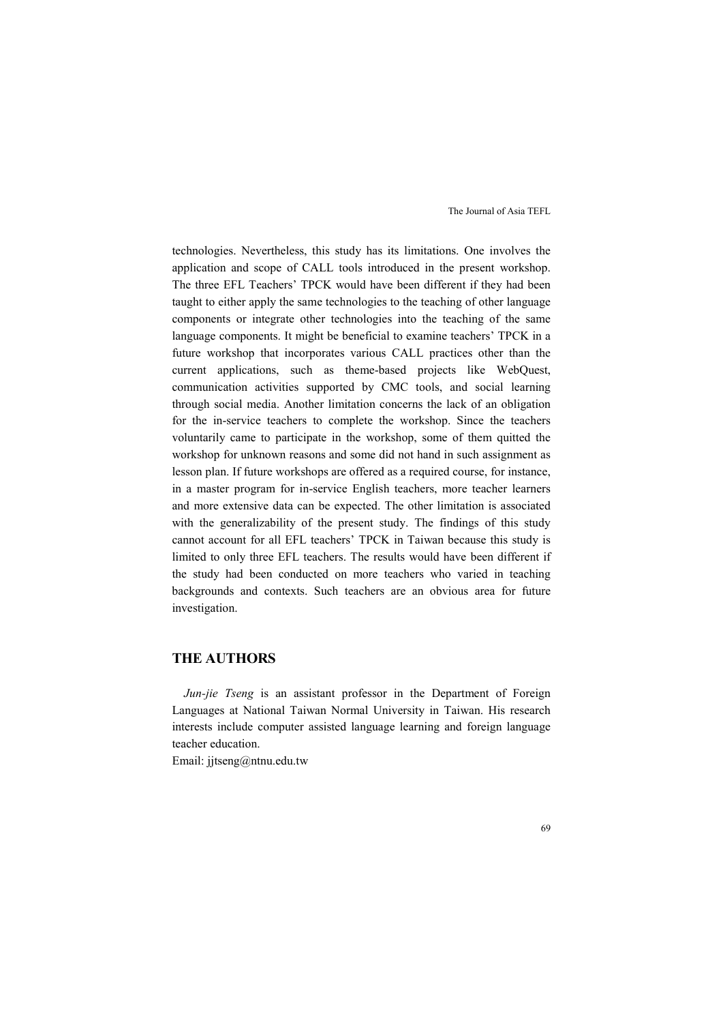technologies. Nevertheless, this study has its limitations. One involves the application and scope of CALL tools introduced in the present workshop. The three EFL Teachers' TPCK would have been different if they had been taught to either apply the same technologies to the teaching of other language components or integrate other technologies into the teaching of the same language components. It might be beneficial to examine teachers' TPCK in a future workshop that incorporates various CALL practices other than the current applications, such as theme-based projects like WebQuest, communication activities supported by CMC tools, and social learning through social media. Another limitation concerns the lack of an obligation for the in-service teachers to complete the workshop. Since the teachers voluntarily came to participate in the workshop, some of them quitted the workshop for unknown reasons and some did not hand in such assignment as lesson plan. If future workshops are offered as a required course, for instance, in a master program for in-service English teachers, more teacher learners and more extensive data can be expected. The other limitation is associated with the generalizability of the present study. The findings of this study cannot account for all EFL teachers' TPCK in Taiwan because this study is limited to only three EFL teachers. The results would have been different if the study had been conducted on more teachers who varied in teaching backgrounds and contexts. Such teachers are an obvious area for future investigation.

## **THE AUTHORS**

*Jun-jie Tseng* is an assistant professor in the Department of Foreign Languages at National Taiwan Normal University in Taiwan. His research interests include computer assisted language learning and foreign language teacher education.

Email: jjtseng@ntnu.edu.tw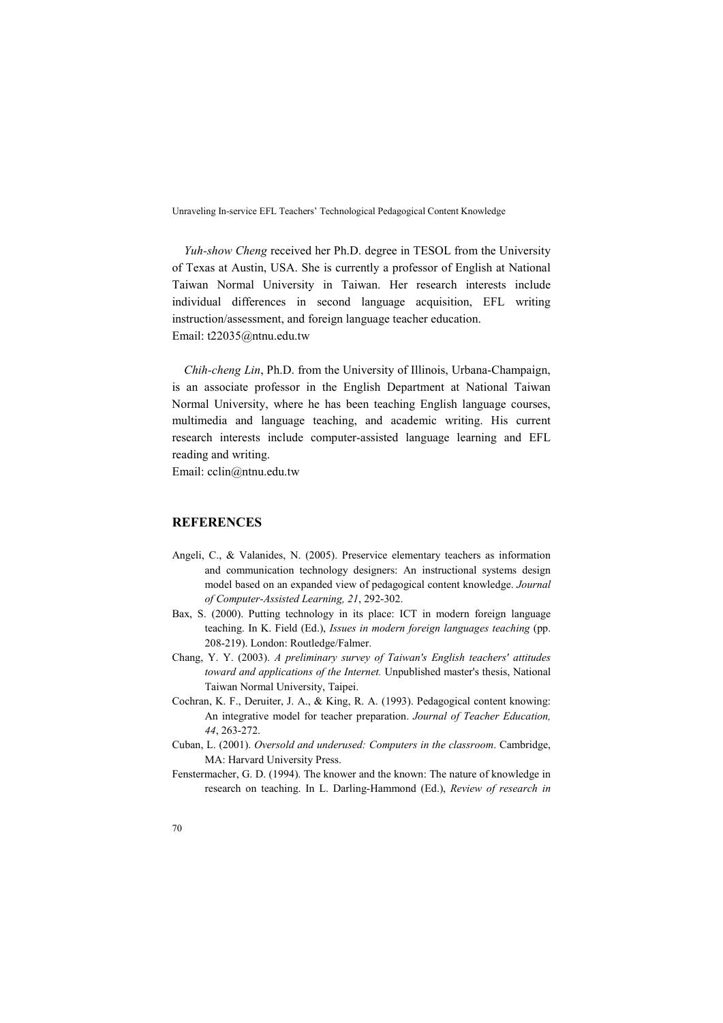*Yuh-show Cheng* received her Ph.D. degree in TESOL from the University of Texas at Austin, USA. She is currently a professor of English at National Taiwan Normal University in Taiwan. Her research interests include individual differences in second language acquisition, EFL writing instruction/assessment, and foreign language teacher education. Email: t22035@ntnu.edu.tw

*Chih-cheng Lin*, Ph.D. from the University of Illinois, Urbana-Champaign, is an associate professor in the English Department at National Taiwan Normal University, where he has been teaching English language courses, multimedia and language teaching, and academic writing. His current research interests include computer-assisted language learning and EFL reading and writing.

Email: cclin@ntnu.edu.tw

#### **REFERENCES**

- Angeli, C., & Valanides, N. (2005). Preservice elementary teachers as information and communication technology designers: An instructional systems design model based on an expanded view of pedagogical content knowledge. *Journal of Computer-Assisted Learning, 21*, 292-302.
- Bax, S. (2000). Putting technology in its place: ICT in modern foreign language teaching. In K. Field (Ed.), *Issues in modern foreign languages teaching* (pp. 208-219). London: Routledge/Falmer.
- Chang, Y. Y. (2003). *A preliminary survey of Taiwan's English teachers' attitudes toward and applications of the Internet.* Unpublished master's thesis, National Taiwan Normal University, Taipei.
- Cochran, K. F., Deruiter, J. A., & King, R. A. (1993). Pedagogical content knowing: An integrative model for teacher preparation. *Journal of Teacher Education, 44*, 263-272.
- Cuban, L. (2001). *Oversold and underused: Computers in the classroom*. Cambridge, MA: Harvard University Press.
- Fenstermacher, G. D. (1994). The knower and the known: The nature of knowledge in research on teaching. In L. Darling-Hammond (Ed.), *Review of research in*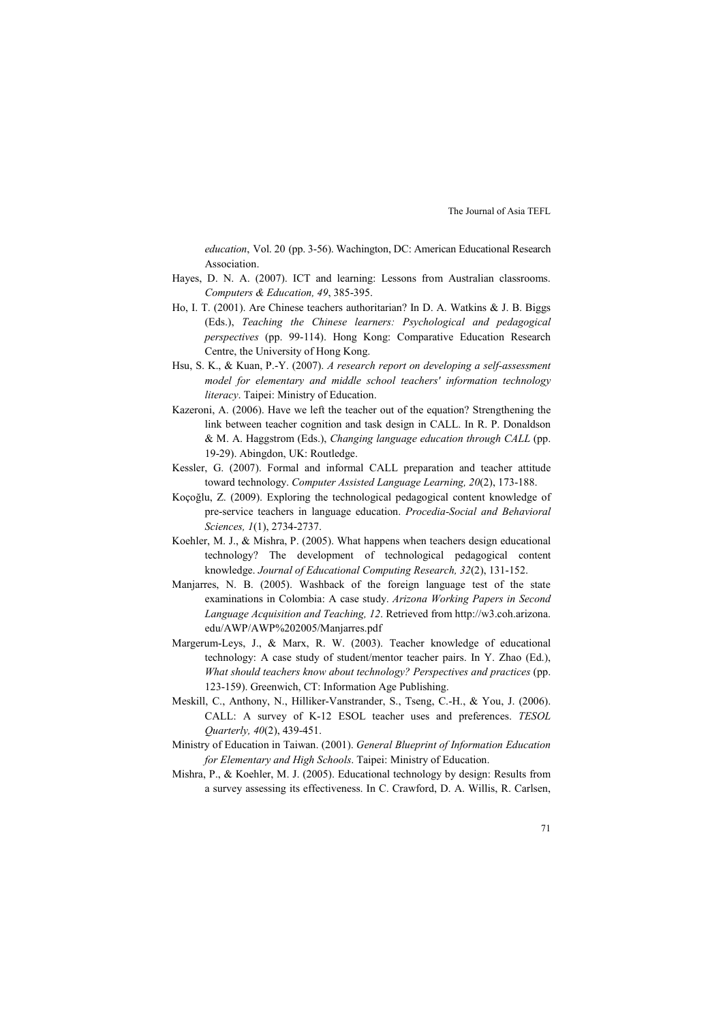*education*, Vol. 20 (pp. 3-56). Wachington, DC: American Educational Research Association.

- Hayes, D. N. A. (2007). ICT and learning: Lessons from Australian classrooms. *Computers & Education, 49*, 385-395.
- Ho, I. T. (2001). Are Chinese teachers authoritarian? In D. A. Watkins & J. B. Biggs (Eds.), *Teaching the Chinese learners: Psychological and pedagogical perspectives* (pp. 99-114). Hong Kong: Comparative Education Research Centre, the University of Hong Kong.
- Hsu, S. K., & Kuan, P.-Y. (2007). *A research report on developing a self-assessment model for elementary and middle school teachers' information technology literacy*. Taipei: Ministry of Education.
- Kazeroni, A. (2006). Have we left the teacher out of the equation? Strengthening the link between teacher cognition and task design in CALL. In R. P. Donaldson & M. A. Haggstrom (Eds.), *Changing language education through CALL* (pp. 19-29). Abingdon, UK: Routledge.
- Kessler, G. (2007). Formal and informal CALL preparation and teacher attitude toward technology. *Computer Assisted Language Learning, 20*(2), 173-188.
- Koçoğlu, Z. (2009). Exploring the technological pedagogical content knowledge of pre-service teachers in language education. *Procedia-Social and Behavioral Sciences, 1*(1), 2734-2737.
- Koehler, M. J., & Mishra, P. (2005). What happens when teachers design educational technology? The development of technological pedagogical content knowledge. *Journal of Educational Computing Research, 32*(2), 131-152.
- Manjarres, N. B. (2005). Washback of the foreign language test of the state examinations in Colombia: A case study. *Arizona Working Papers in Second Language Acquisition and Teaching, 12*. Retrieved from http://w3.coh.arizona. edu/AWP/AWP%202005/Manjarres.pdf
- Margerum-Leys, J., & Marx, R. W. (2003). Teacher knowledge of educational technology: A case study of student/mentor teacher pairs. In Y. Zhao (Ed.), *What should teachers know about technology? Perspectives and practices* (pp. 123-159). Greenwich, CT: Information Age Publishing.
- Meskill, C., Anthony, N., Hilliker-Vanstrander, S., Tseng, C.-H., & You, J. (2006). CALL: A survey of K-12 ESOL teacher uses and preferences. *TESOL Quarterly, 40*(2), 439-451.
- Ministry of Education in Taiwan. (2001). *General Blueprint of Information Education for Elementary and High Schools*. Taipei: Ministry of Education.
- Mishra, P., & Koehler, M. J. (2005). Educational technology by design: Results from a survey assessing its effectiveness. In C. Crawford, D. A. Willis, R. Carlsen,